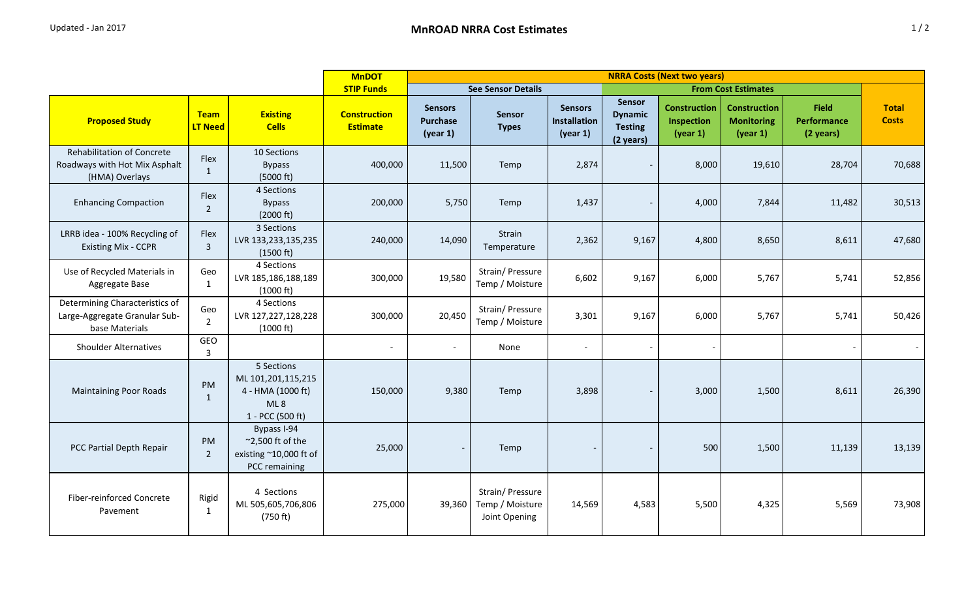|                                                                                      | <b>MnDOT</b><br><b>NRRA Costs (Next two years)</b> |                                                                                     |                                        |                                               |                                                      |                                                   |                                                                |                                               |                                                      |                                                 |                              |
|--------------------------------------------------------------------------------------|----------------------------------------------------|-------------------------------------------------------------------------------------|----------------------------------------|-----------------------------------------------|------------------------------------------------------|---------------------------------------------------|----------------------------------------------------------------|-----------------------------------------------|------------------------------------------------------|-------------------------------------------------|------------------------------|
|                                                                                      |                                                    | <b>STIP Funds</b>                                                                   | <b>See Sensor Details</b>              |                                               | <b>From Cost Estimates</b>                           |                                                   |                                                                |                                               |                                                      |                                                 |                              |
| <b>Proposed Study</b>                                                                | <b>Team</b><br><b>LT Need</b>                      | <b>Existing</b><br><b>Cells</b>                                                     | <b>Construction</b><br><b>Estimate</b> | <b>Sensors</b><br><b>Purchase</b><br>(year 1) | Sensor<br><b>Types</b>                               | <b>Sensors</b><br><b>Installation</b><br>(year 1) | <b>Sensor</b><br><b>Dynamic</b><br><b>Testing</b><br>(2 years) | <b>Construction</b><br>Inspection<br>(year 1) | <b>Construction</b><br><b>Monitoring</b><br>(year 1) | <b>Field</b><br><b>Performance</b><br>(2 years) | <b>Total</b><br><b>Costs</b> |
| <b>Rehabilitation of Concrete</b><br>Roadways with Hot Mix Asphalt<br>(HMA) Overlays | Flex<br>$\mathbf{1}$                               | 10 Sections<br><b>Bypass</b><br>(5000 ft)                                           | 400,000                                | 11,500                                        | Temp                                                 | 2,874                                             |                                                                | 8,000                                         | 19,610                                               | 28,704                                          | 70,688                       |
| <b>Enhancing Compaction</b>                                                          | Flex<br>$\overline{2}$                             | 4 Sections<br><b>Bypass</b><br>(2000 ft)                                            | 200,000                                | 5,750                                         | Temp                                                 | 1,437                                             | $\overline{\phantom{a}}$                                       | 4,000                                         | 7,844                                                | 11,482                                          | 30,513                       |
| LRRB idea - 100% Recycling of<br><b>Existing Mix - CCPR</b>                          | Flex<br>$\overline{3}$                             | 3 Sections<br>LVR 133,233,135,235<br>(1500 ft)                                      | 240,000                                | 14,090                                        | Strain<br>Temperature                                | 2,362                                             | 9,167                                                          | 4,800                                         | 8,650                                                | 8,611                                           | 47,680                       |
| Use of Recycled Materials in<br>Aggregate Base                                       | Geo<br>$\mathbf{1}$                                | 4 Sections<br>LVR 185,186,188,189<br>(1000 ft)                                      | 300,000                                | 19,580                                        | Strain/ Pressure<br>Temp / Moisture                  | 6,602                                             | 9,167                                                          | 6,000                                         | 5,767                                                | 5,741                                           | 52,856                       |
| Determining Characteristics of<br>Large-Aggregate Granular Sub-<br>base Materials    | Geo<br>$\overline{2}$                              | 4 Sections<br>LVR 127,227,128,228<br>$(1000 \text{ ft})$                            | 300,000                                | 20,450                                        | Strain/ Pressure<br>Temp / Moisture                  | 3,301                                             | 9,167                                                          | 6,000                                         | 5,767                                                | 5,741                                           | 50,426                       |
| <b>Shoulder Alternatives</b>                                                         | GEO<br>3                                           |                                                                                     | $\overline{\phantom{a}}$               | $\overline{\phantom{a}}$                      | None                                                 |                                                   |                                                                |                                               |                                                      |                                                 |                              |
| <b>Maintaining Poor Roads</b>                                                        | PM<br>$\mathbf{1}$                                 | 5 Sections<br>ML 101,201,115,215<br>4 - HMA (1000 ft)<br>ML8<br>1 - PCC (500 ft)    | 150,000                                | 9,380                                         | Temp                                                 | 3,898                                             | $\overline{\phantom{0}}$                                       | 3,000                                         | 1,500                                                | 8,611                                           | 26,390                       |
| PCC Partial Depth Repair                                                             | PM<br>$\overline{2}$                               | Bypass I-94<br>$\approx$ 2,500 ft of the<br>existing ~10,000 ft of<br>PCC remaining | 25,000                                 |                                               | Temp                                                 |                                                   | $\overline{\phantom{0}}$                                       | 500                                           | 1,500                                                | 11,139                                          | 13,139                       |
| <b>Fiber-reinforced Concrete</b><br>Pavement                                         | Rigid<br>$\mathbf{1}$                              | 4 Sections<br>ML 505,605,706,806<br>(750 ft)                                        | 275,000                                | 39,360                                        | Strain/ Pressure<br>Temp / Moisture<br>Joint Opening | 14,569                                            | 4,583                                                          | 5,500                                         | 4,325                                                | 5,569                                           | 73,908                       |